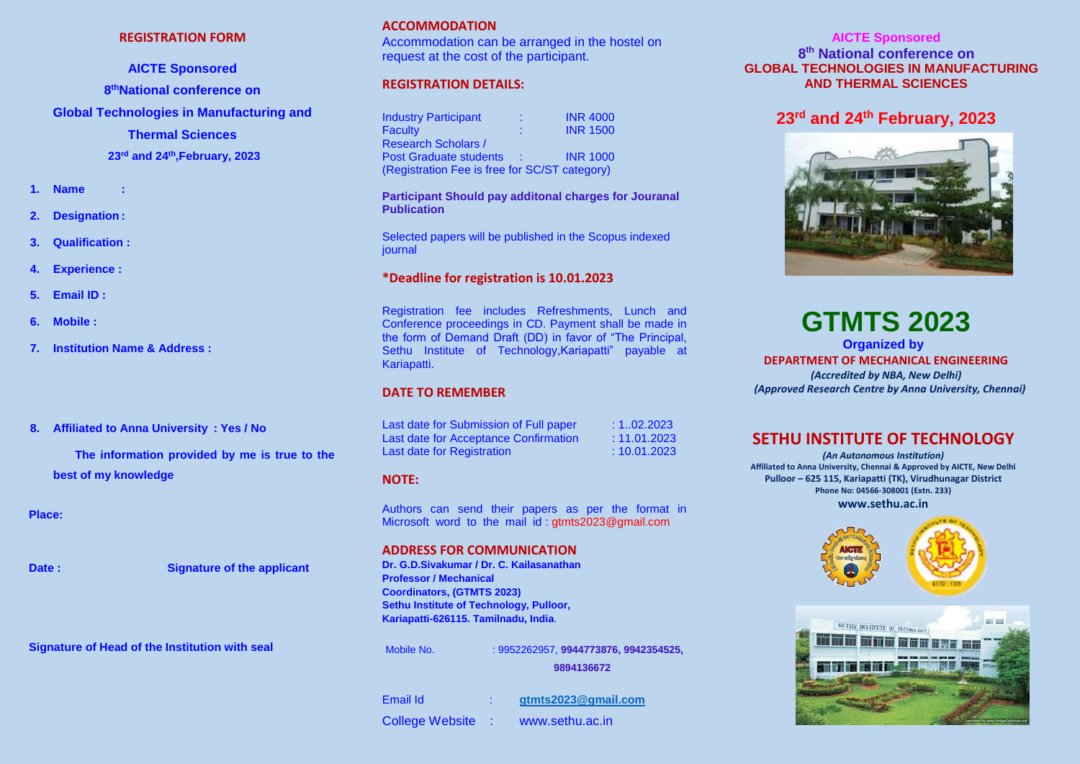### **REGISTRATION FORM**

**AICTE Sponsored** 

**8 thNational conference on** 

**Global Technologies in Manufacturing and** 

**Thermal Sciences**

**23rd and 24th ,February, 2023**

- **1. Name :**
- **2. Designation :**
- **3. Qualification :**
- **4. Experience :**
- **5. Email ID :**
- **6. Mobile :**
- **7. Institution Name & Address :**

**8. Affiliated to Anna University : Yes / No**

**The information provided by me is true to the best of my knowledge**

**Place:**

**Date : Signature of the applicant** 

**Signature of Head of the Institution with seal** 

### **ACCOMMODATION**

Accommodation can be arranged in the hostel on request at the cost of the participant.

# **REGISTRATION DETAILS:**

| <b>Industry Participant</b>                   | t                  | <b>INR 4000</b> |
|-----------------------------------------------|--------------------|-----------------|
| Faculty                                       | ۴                  | <b>INR 1500</b> |
| <b>Research Scholars /</b>                    |                    |                 |
| <b>Post Graduate students</b>                 | <b>START START</b> | <b>INR 1000</b> |
| (Registration Fee is free for SC/ST category) |                    |                 |

### **Participant Should pay additonal charges for Jouranal Publication**

Selected papers will be published in the Scopus indexed journal

# **\*Deadline for registration is 10.01.2023**

Registration fee includes Refreshments, Lunch and Conference proceedings in CD. Payment shall be made in the form of Demand Draft (DD) in favor of "The Principal, Sethu Institute of Technology, Kariapatti" payable at Kariapatti.

# **DATE TO REMEMBER**

Last date for Submission of Full paper : 1..02.2023 Last date for Acceptance Confirmation : 11.01.2023 Last date for Registration : 10.01.2023

# **NOTE:**

Authors can send their papers as per the format in Microsoft word to the mail id : gtmts2023@gmail.com

**ADDRESS FOR COMMUNICATION Dr. G.D.Sivakumar / Dr. C. Kailasanathan Professor / Mechanical Coordinators, (GTMTS 2023) Sethu Institute of Technology, Pulloor, Kariapatti-626115. Tamilnadu, India**.

Mobile No. : 9952262957, **9944773876, 9942354525, 9894136672**

Email Id : **[gtmts2023@gmail.com](mailto:gtmts2023@gmail.com)** College Website : www.sethu.ac.in

### **AICTE Sponsored 8 th National conference on GLOBAL TECHNOLOGIES IN MANUFACTURING AND THERMAL SCIENCES**

# **23rd and 24th February, 2023**



# **GTMTS 2023**

**Organized by DEPARTMENT OF MECHANICAL ENGINEERING** *(Accredited by NBA, New Delhi) (Approved Research Centre by Anna University, Chennai)*

# **SETHU INSTITUTE OF TECHNOLOGY**

*(An Autonomous Institution)* **Affiliated to Anna University, Chennai & Approved by AICTE, New Delhi Pulloor – 625 115, Kariapatti (TK), Virudhunagar District Phone No: 04566-308001 (Extn. 233) www.sethu.ac.in**